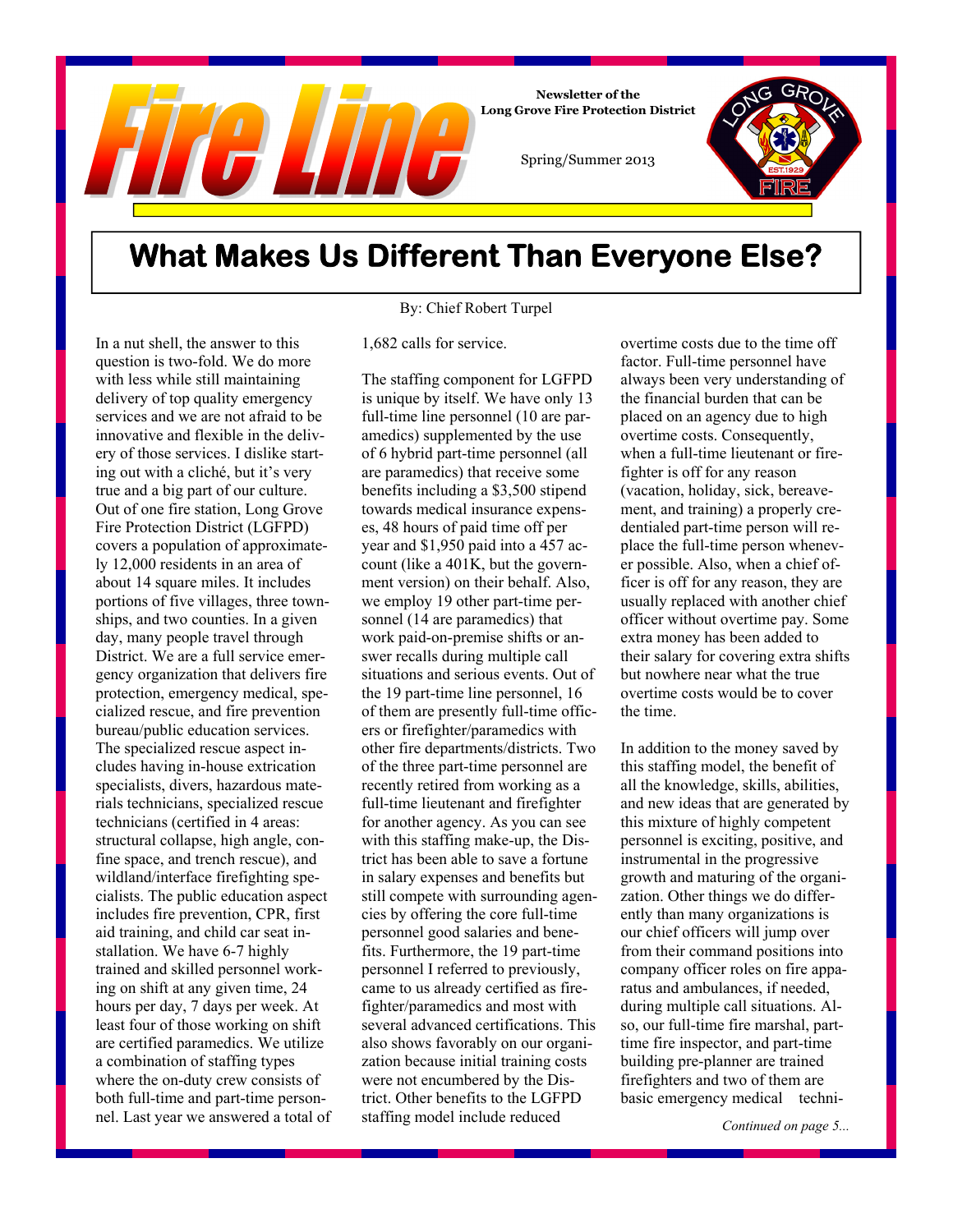

## **What Makes Us Different Than Everyone Else?**

By: Chief Robert Turpel

In a nut shell, the answer to this question is two-fold. We do more with less while still maintaining delivery of top quality emergency services and we are not afraid to be innovative and flexible in the delivery of those services. I dislike starting out with a cliché, but it's very true and a big part of our culture. Out of one fire station, Long Grove Fire Protection District (LGFPD) covers a population of approximately 12,000 residents in an area of about 14 square miles. It includes portions of five villages, three townships, and two counties. In a given day, many people travel through District. We are a full service emergency organization that delivers fire protection, emergency medical, specialized rescue, and fire prevention bureau/public education services. The specialized rescue aspect includes having in-house extrication specialists, divers, hazardous materials technicians, specialized rescue technicians (certified in 4 areas: structural collapse, high angle, confine space, and trench rescue), and wildland/interface firefighting specialists. The public education aspect includes fire prevention, CPR, first aid training, and child car seat installation. We have 6-7 highly trained and skilled personnel working on shift at any given time, 24 hours per day, 7 days per week. At least four of those working on shift are certified paramedics. We utilize a combination of staffing types where the on-duty crew consists of both full-time and part-time personnel. Last year we answered a total of

#### 1,682 calls for service.

The staffing component for LGFPD is unique by itself. We have only 13 full-time line personnel (10 are paramedics) supplemented by the use of 6 hybrid part-time personnel (all are paramedics) that receive some benefits including a \$3,500 stipend towards medical insurance expenses, 48 hours of paid time off per year and \$1,950 paid into a 457 account (like a 401K, but the government version) on their behalf. Also, we employ 19 other part-time personnel (14 are paramedics) that work paid-on-premise shifts or answer recalls during multiple call situations and serious events. Out of the 19 part-time line personnel, 16 of them are presently full-time officers or firefighter/paramedics with other fire departments/districts. Two of the three part-time personnel are recently retired from working as a full-time lieutenant and firefighter for another agency. As you can see with this staffing make-up, the District has been able to save a fortune in salary expenses and benefits but still compete with surrounding agencies by offering the core full-time personnel good salaries and benefits. Furthermore, the 19 part-time personnel I referred to previously, came to us already certified as firefighter/paramedics and most with several advanced certifications. This also shows favorably on our organization because initial training costs were not encumbered by the District. Other benefits to the LGFPD staffing model include reduced

overtime costs due to the time off factor. Full-time personnel have always been very understanding of the financial burden that can be placed on an agency due to high overtime costs. Consequently, when a full-time lieutenant or firefighter is off for any reason (vacation, holiday, sick, bereavement, and training) a properly credentialed part-time person will replace the full-time person whenever possible. Also, when a chief officer is off for any reason, they are usually replaced with another chief officer without overtime pay. Some extra money has been added to their salary for covering extra shifts but nowhere near what the true overtime costs would be to cover the time.

In addition to the money saved by this staffing model, the benefit of all the knowledge, skills, abilities, and new ideas that are generated by this mixture of highly competent personnel is exciting, positive, and instrumental in the progressive growth and maturing of the organization. Other things we do differently than many organizations is our chief officers will jump over from their command positions into company officer roles on fire apparatus and ambulances, if needed, during multiple call situations. Also, our full-time fire marshal, parttime fire inspector, and part-time building pre-planner are trained firefighters and two of them are basic emergency medical techni-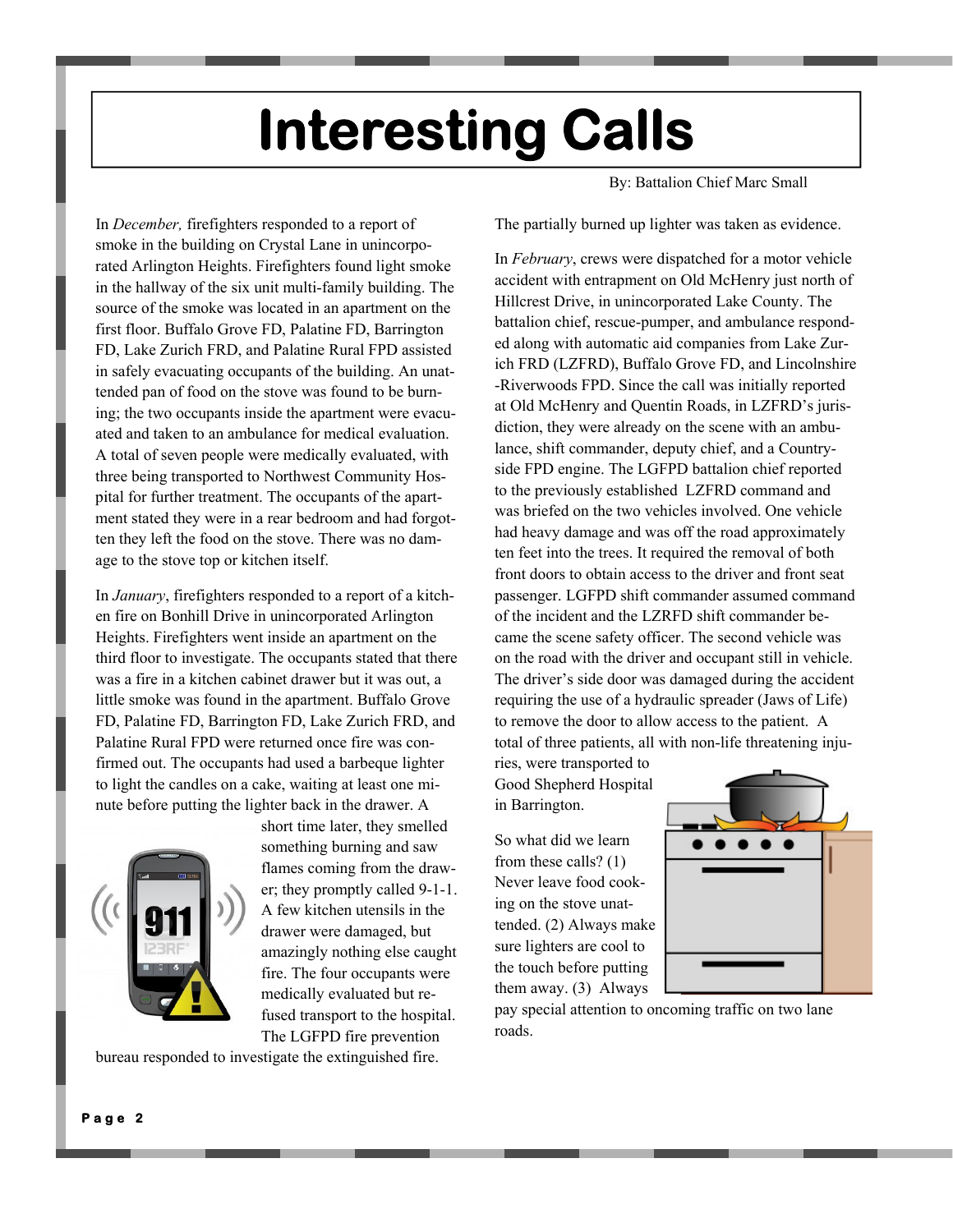# **Interesting Calls**

In *December,* firefighters responded to a report of smoke in the building on Crystal Lane in unincorporated Arlington Heights. Firefighters found light smoke in the hallway of the six unit multi-family building. The source of the smoke was located in an apartment on the first floor. Buffalo Grove FD, Palatine FD, Barrington FD, Lake Zurich FRD, and Palatine Rural FPD assisted in safely evacuating occupants of the building. An unattended pan of food on the stove was found to be burning; the two occupants inside the apartment were evacuated and taken to an ambulance for medical evaluation. A total of seven people were medically evaluated, with three being transported to Northwest Community Hospital for further treatment. The occupants of the apartment stated they were in a rear bedroom and had forgotten they left the food on the stove. There was no damage to the stove top or kitchen itself.

In *January*, firefighters responded to a report of a kitchen fire on Bonhill Drive in unincorporated Arlington Heights. Firefighters went inside an apartment on the third floor to investigate. The occupants stated that there was a fire in a kitchen cabinet drawer but it was out, a little smoke was found in the apartment. Buffalo Grove FD, Palatine FD, Barrington FD, Lake Zurich FRD, and Palatine Rural FPD were returned once fire was confirmed out. The occupants had used a barbeque lighter to light the candles on a cake, waiting at least one minute before putting the lighter back in the drawer. A



short time later, they smelled something burning and saw flames coming from the drawer; they promptly called 9-1-1. A few kitchen utensils in the drawer were damaged, but amazingly nothing else caught fire. The four occupants were medically evaluated but refused transport to the hospital. The LGFPD fire prevention

bureau responded to investigate the extinguished fire.

By: Battalion Chief Marc Small

The partially burned up lighter was taken as evidence.

In *February*, crews were dispatched for a motor vehicle accident with entrapment on Old McHenry just north of Hillcrest Drive, in unincorporated Lake County. The battalion chief, rescue-pumper, and ambulance responded along with automatic aid companies from Lake Zurich FRD (LZFRD), Buffalo Grove FD, and Lincolnshire -Riverwoods FPD. Since the call was initially reported at Old McHenry and Quentin Roads, in LZFRD's jurisdiction, they were already on the scene with an ambulance, shift commander, deputy chief, and a Countryside FPD engine. The LGFPD battalion chief reported to the previously established LZFRD command and was briefed on the two vehicles involved. One vehicle had heavy damage and was off the road approximately ten feet into the trees. It required the removal of both front doors to obtain access to the driver and front seat passenger. LGFPD shift commander assumed command of the incident and the LZRFD shift commander became the scene safety officer. The second vehicle was on the road with the driver and occupant still in vehicle. The driver's side door was damaged during the accident requiring the use of a hydraulic spreader (Jaws of Life) to remove the door to allow access to the patient. A total of three patients, all with non-life threatening inju-

ries, were transported to Good Shepherd Hospital in Barrington.

So what did we learn from these calls? (1) Never leave food cooking on the stove unattended. (2) Always make sure lighters are cool to the touch before putting them away. (3) Always



pay special attention to oncoming traffic on two lane roads.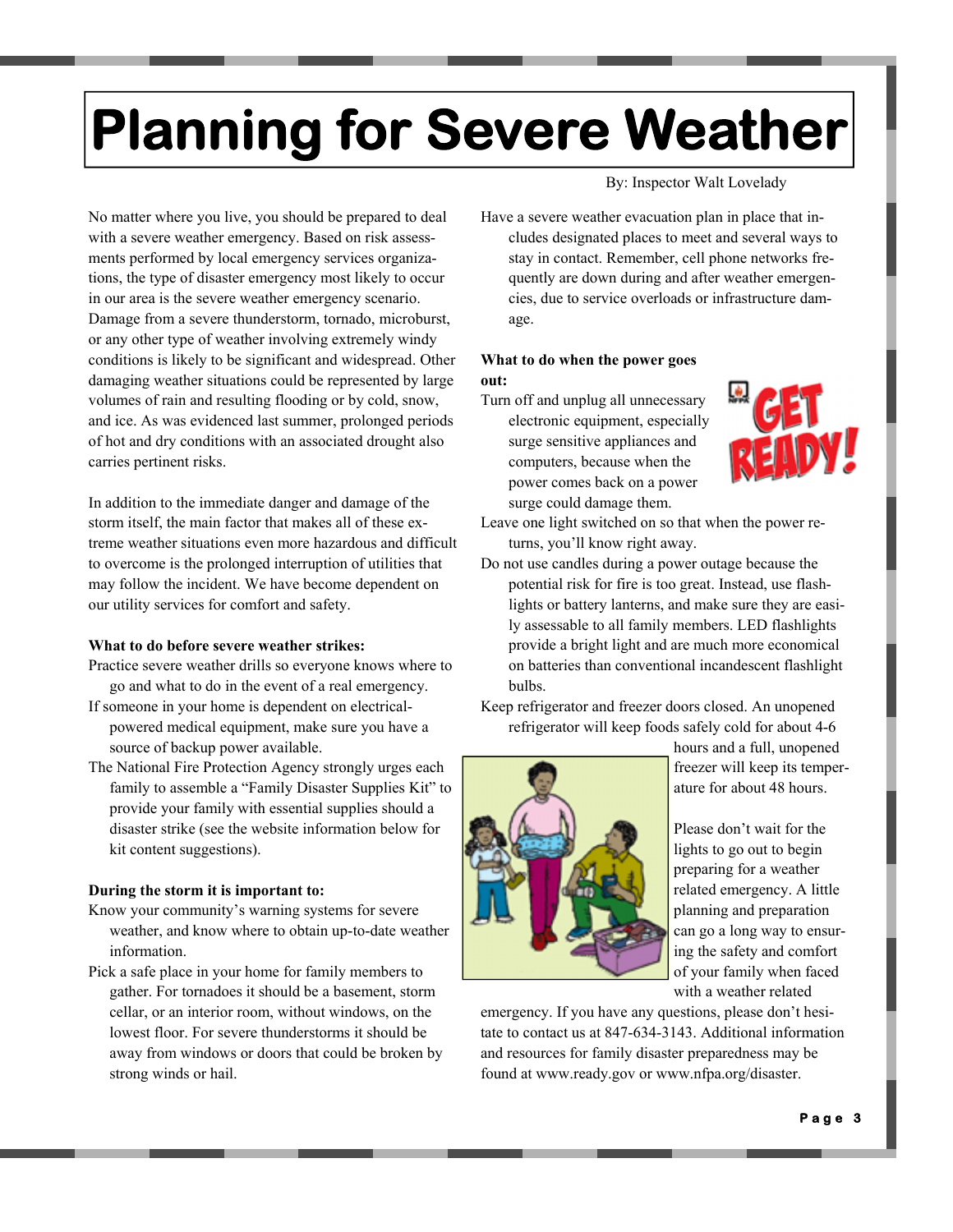# **Planning for Severe Weather**

No matter where you live, you should be prepared to deal with a severe weather emergency. Based on risk assessments performed by local emergency services organizations, the type of disaster emergency most likely to occur in our area is the severe weather emergency scenario. Damage from a severe thunderstorm, tornado, microburst, or any other type of weather involving extremely windy conditions is likely to be significant and widespread. Other damaging weather situations could be represented by large volumes of rain and resulting flooding or by cold, snow, and ice. As was evidenced last summer, prolonged periods of hot and dry conditions with an associated drought also carries pertinent risks.

In addition to the immediate danger and damage of the storm itself, the main factor that makes all of these extreme weather situations even more hazardous and difficult to overcome is the prolonged interruption of utilities that may follow the incident. We have become dependent on our utility services for comfort and safety.

#### **What to do before severe weather strikes:**

- Practice severe weather drills so everyone knows where to go and what to do in the event of a real emergency.
- If someone in your home is dependent on electricalpowered medical equipment, make sure you have a source of backup power available.
- The National Fire Protection Agency strongly urges each family to assemble a "Family Disaster Supplies Kit" to provide your family with essential supplies should a disaster strike (see the website information below for kit content suggestions).

#### **During the storm it is important to:**

- Know your community's warning systems for severe weather, and know where to obtain up-to-date weather information.
- Pick a safe place in your home for family members to gather. For tornadoes it should be a basement, storm cellar, or an interior room, without windows, on the lowest floor. For severe thunderstorms it should be away from windows or doors that could be broken by strong winds or hail.

By: Inspector Walt Lovelady

Have a severe weather evacuation plan in place that includes designated places to meet and several ways to stay in contact. Remember, cell phone networks frequently are down during and after weather emergencies, due to service overloads or infrastructure damage.

#### **What to do when the power goes out:**

Turn off and unplug all unnecessary electronic equipment, especially surge sensitive appliances and computers, because when the power comes back on a power surge could damage them.



- Leave one light switched on so that when the power returns, you'll know right away.
- Do not use candles during a power outage because the potential risk for fire is too great. Instead, use flashlights or battery lanterns, and make sure they are easily assessable to all family members. LED flashlights provide a bright light and are much more economical on batteries than conventional incandescent flashlight bulbs.

Keep refrigerator and freezer doors closed. An unopened refrigerator will keep foods safely cold for about 4-6



hours and a full, unopened freezer will keep its temperature for about 48 hours.

Please don't wait for the lights to go out to begin preparing for a weather related emergency. A little planning and preparation can go a long way to ensuring the safety and comfort of your family when faced with a weather related

emergency. If you have any questions, please don't hesitate to contact us at 847-634-3143. Additional information and resources for family disaster preparedness may be found at www.ready.gov or www.nfpa.org/disaster.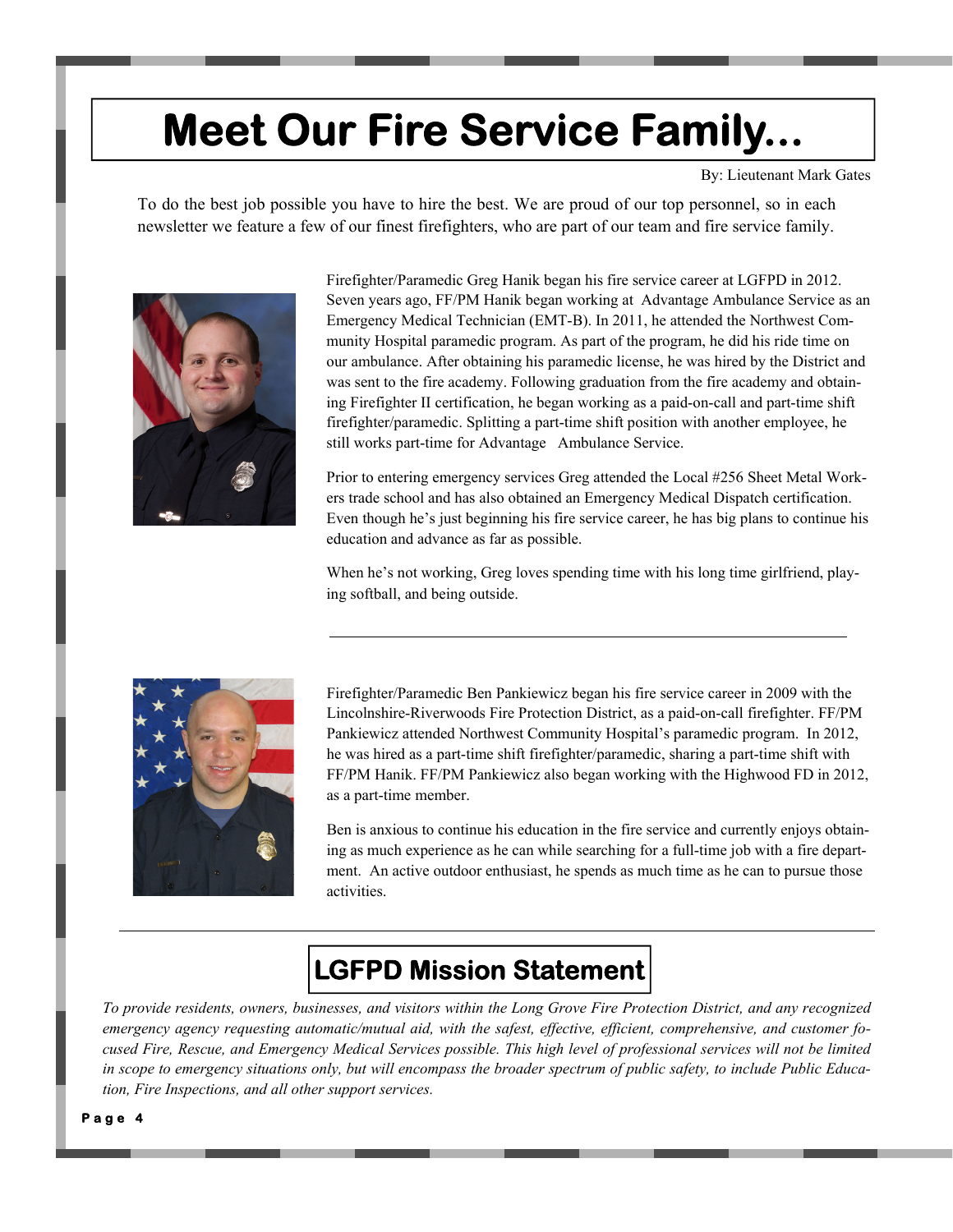## **Meet Our Fire Service Family...**

By: Lieutenant Mark Gates

To do the best job possible you have to hire the best. We are proud of our top personnel, so in each newsletter we feature a few of our finest firefighters, who are part of our team and fire service family.



Firefighter/Paramedic Greg Hanik began his fire service career at LGFPD in 2012. Seven years ago, FF/PM Hanik began working at Advantage Ambulance Service as an Emergency Medical Technician (EMT-B). In 2011, he attended the Northwest Community Hospital paramedic program. As part of the program, he did his ride time on our ambulance. After obtaining his paramedic license, he was hired by the District and was sent to the fire academy. Following graduation from the fire academy and obtaining Firefighter II certification, he began working as a paid-on-call and part-time shift firefighter/paramedic. Splitting a part-time shift position with another employee, he still works part-time for Advantage Ambulance Service.

Prior to entering emergency services Greg attended the Local #256 Sheet Metal Workers trade school and has also obtained an Emergency Medical Dispatch certification. Even though he's just beginning his fire service career, he has big plans to continue his education and advance as far as possible.

When he's not working, Greg loves spending time with his long time girlfriend, playing softball, and being outside.



Firefighter/Paramedic Ben Pankiewicz began his fire service career in 2009 with the Lincolnshire-Riverwoods Fire Protection District, as a paid-on-call firefighter. FF/PM Pankiewicz attended Northwest Community Hospital's paramedic program. In 2012, he was hired as a part-time shift firefighter/paramedic, sharing a part-time shift with FF/PM Hanik. FF/PM Pankiewicz also began working with the Highwood FD in 2012, as a part-time member.

Ben is anxious to continue his education in the fire service and currently enjoys obtaining as much experience as he can while searching for a full-time job with a fire department. An active outdoor enthusiast, he spends as much time as he can to pursue those activities.

## **LGFPD Mission Statement**

*To provide residents, owners, businesses, and visitors within the Long Grove Fire Protection District, and any recognized emergency agency requesting automatic/mutual aid, with the safest, effective, efficient, comprehensive, and customer focused Fire, Rescue, and Emergency Medical Services possible. This high level of professional services will not be limited in scope to emergency situations only, but will encompass the broader spectrum of public safety, to include Public Education, Fire Inspections, and all other support services.*

**Page 4**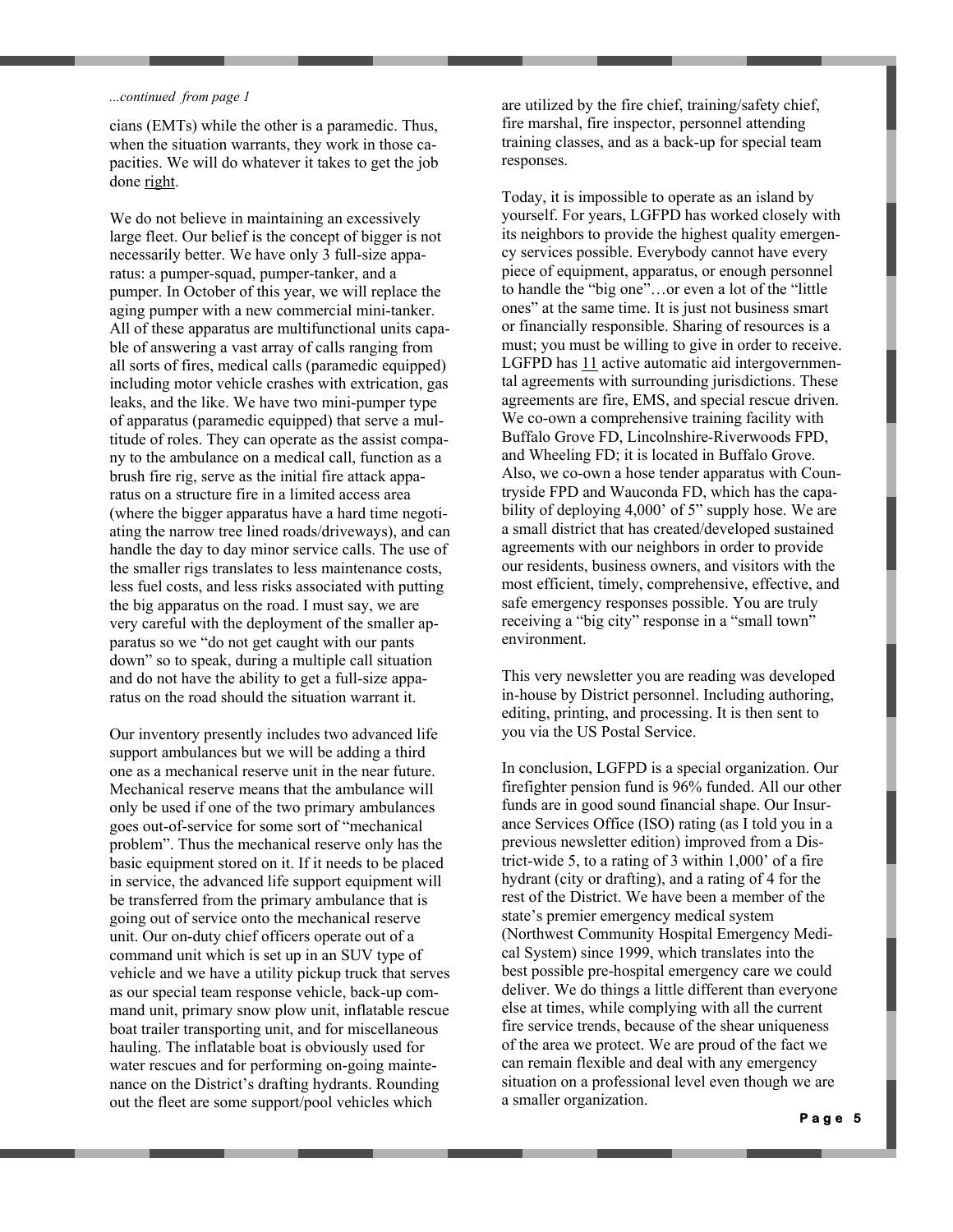#### *...continued from page 1*

cians (EMTs) while the other is a paramedic. Thus, when the situation warrants, they work in those capacities. We will do whatever it takes to get the job done right.

We do not believe in maintaining an excessively large fleet. Our belief is the concept of bigger is not necessarily better. We have only 3 full-size apparatus: a pumper-squad, pumper-tanker, and a pumper. In October of this year, we will replace the aging pumper with a new commercial mini-tanker. All of these apparatus are multifunctional units capable of answering a vast array of calls ranging from all sorts of fires, medical calls (paramedic equipped) including motor vehicle crashes with extrication, gas leaks, and the like. We have two mini-pumper type of apparatus (paramedic equipped) that serve a multitude of roles. They can operate as the assist company to the ambulance on a medical call, function as a brush fire rig, serve as the initial fire attack apparatus on a structure fire in a limited access area (where the bigger apparatus have a hard time negotiating the narrow tree lined roads/driveways), and can handle the day to day minor service calls. The use of the smaller rigs translates to less maintenance costs, less fuel costs, and less risks associated with putting the big apparatus on the road. I must say, we are very careful with the deployment of the smaller apparatus so we "do not get caught with our pants down" so to speak, during a multiple call situation and do not have the ability to get a full-size apparatus on the road should the situation warrant it.

Our inventory presently includes two advanced life support ambulances but we will be adding a third one as a mechanical reserve unit in the near future. Mechanical reserve means that the ambulance will only be used if one of the two primary ambulances goes out-of-service for some sort of "mechanical problem". Thus the mechanical reserve only has the basic equipment stored on it. If it needs to be placed in service, the advanced life support equipment will be transferred from the primary ambulance that is going out of service onto the mechanical reserve unit. Our on-duty chief officers operate out of a command unit which is set up in an SUV type of vehicle and we have a utility pickup truck that serves as our special team response vehicle, back-up command unit, primary snow plow unit, inflatable rescue boat trailer transporting unit, and for miscellaneous hauling. The inflatable boat is obviously used for water rescues and for performing on-going maintenance on the District's drafting hydrants. Rounding out the fleet are some support/pool vehicles which

are utilized by the fire chief, training/safety chief, fire marshal, fire inspector, personnel attending training classes, and as a back-up for special team responses.

Today, it is impossible to operate as an island by yourself. For years, LGFPD has worked closely with its neighbors to provide the highest quality emergency services possible. Everybody cannot have every piece of equipment, apparatus, or enough personnel to handle the "big one"…or even a lot of the "little ones" at the same time. It is just not business smart or financially responsible. Sharing of resources is a must; you must be willing to give in order to receive. LGFPD has 11 active automatic aid intergovernmental agreements with surrounding jurisdictions. These agreements are fire, EMS, and special rescue driven. We co-own a comprehensive training facility with Buffalo Grove FD, Lincolnshire-Riverwoods FPD, and Wheeling FD; it is located in Buffalo Grove. Also, we co-own a hose tender apparatus with Countryside FPD and Wauconda FD, which has the capability of deploying 4,000' of 5" supply hose. We are a small district that has created/developed sustained agreements with our neighbors in order to provide our residents, business owners, and visitors with the most efficient, timely, comprehensive, effective, and safe emergency responses possible. You are truly receiving a "big city" response in a "small town" environment.

This very newsletter you are reading was developed in-house by District personnel. Including authoring, editing, printing, and processing. It is then sent to you via the US Postal Service.

In conclusion, LGFPD is a special organization. Our firefighter pension fund is 96% funded. All our other funds are in good sound financial shape. Our Insurance Services Office (ISO) rating (as I told you in a previous newsletter edition) improved from a District-wide 5, to a rating of 3 within 1,000' of a fire hydrant (city or drafting), and a rating of 4 for the rest of the District. We have been a member of the state's premier emergency medical system (Northwest Community Hospital Emergency Medical System) since 1999, which translates into the best possible pre-hospital emergency care we could deliver. We do things a little different than everyone else at times, while complying with all the current fire service trends, because of the shear uniqueness of the area we protect. We are proud of the fact we can remain flexible and deal with any emergency situation on a professional level even though we are a smaller organization.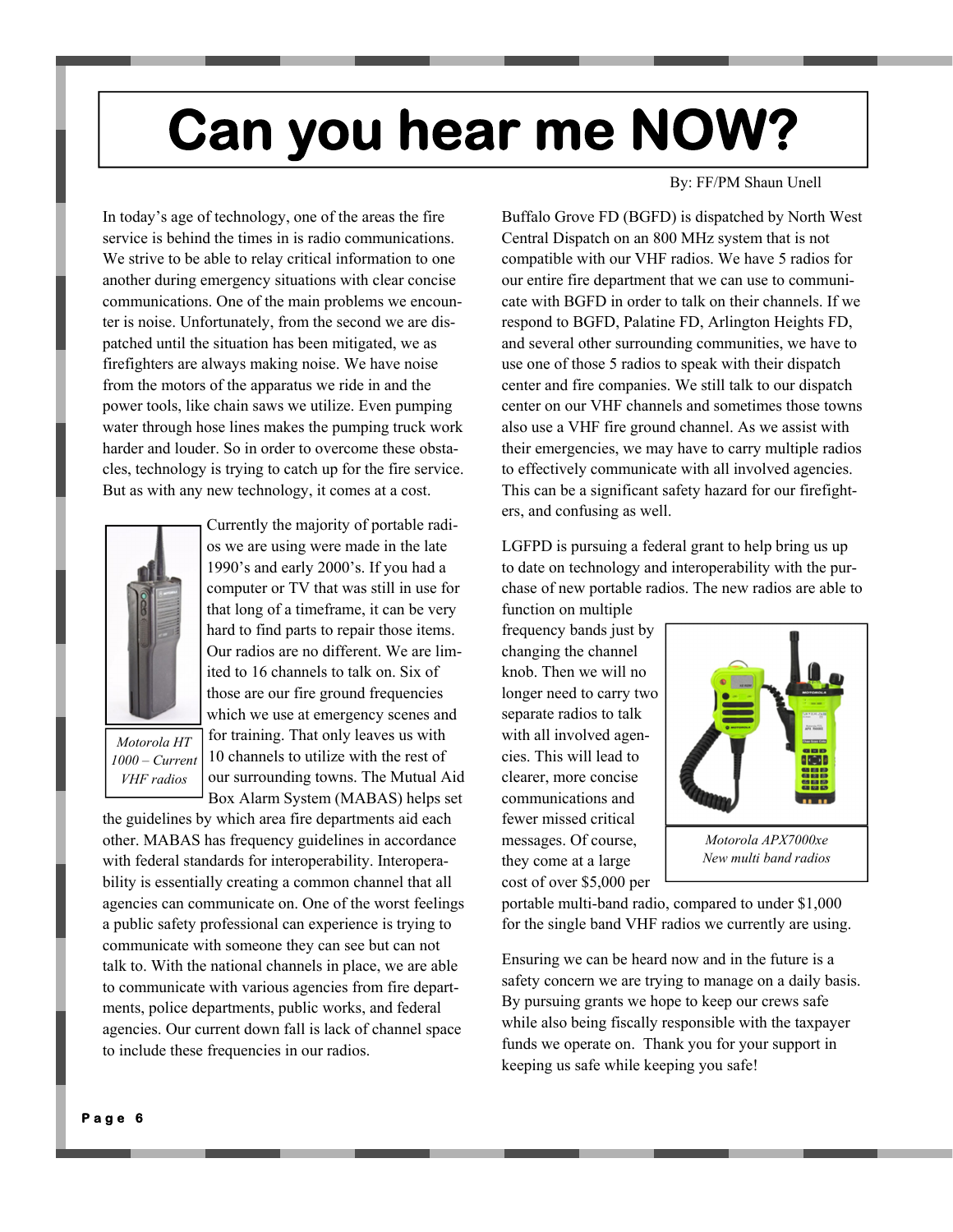# **Can you hear me NOW?**

In today's age of technology, one of the areas the fire service is behind the times in is radio communications. We strive to be able to relay critical information to one another during emergency situations with clear concise communications. One of the main problems we encounter is noise. Unfortunately, from the second we are dispatched until the situation has been mitigated, we as firefighters are always making noise. We have noise from the motors of the apparatus we ride in and the power tools, like chain saws we utilize. Even pumping water through hose lines makes the pumping truck work harder and louder. So in order to overcome these obstacles, technology is trying to catch up for the fire service. But as with any new technology, it comes at a cost.



*Motorola HT 1000 – Current VHF radios* 

Currently the majority of portable radios we are using were made in the late 1990's and early 2000's. If you had a computer or TV that was still in use for that long of a timeframe, it can be very hard to find parts to repair those items. Our radios are no different. We are limited to 16 channels to talk on. Six of those are our fire ground frequencies which we use at emergency scenes and for training. That only leaves us with 10 channels to utilize with the rest of our surrounding towns. The Mutual Aid Box Alarm System (MABAS) helps set

the guidelines by which area fire departments aid each other. MABAS has frequency guidelines in accordance with federal standards for interoperability. Interoperability is essentially creating a common channel that all agencies can communicate on. One of the worst feelings a public safety professional can experience is trying to communicate with someone they can see but can not talk to. With the national channels in place, we are able to communicate with various agencies from fire departments, police departments, public works, and federal agencies. Our current down fall is lack of channel space to include these frequencies in our radios.

By: FF/PM Shaun Unell

Buffalo Grove FD (BGFD) is dispatched by North West Central Dispatch on an 800 MHz system that is not compatible with our VHF radios. We have 5 radios for our entire fire department that we can use to communicate with BGFD in order to talk on their channels. If we respond to BGFD, Palatine FD, Arlington Heights FD, and several other surrounding communities, we have to use one of those 5 radios to speak with their dispatch center and fire companies. We still talk to our dispatch center on our VHF channels and sometimes those towns also use a VHF fire ground channel. As we assist with their emergencies, we may have to carry multiple radios to effectively communicate with all involved agencies. This can be a significant safety hazard for our firefighters, and confusing as well.

LGFPD is pursuing a federal grant to help bring us up to date on technology and interoperability with the purchase of new portable radios. The new radios are able to function on multiple

frequency bands just by changing the channel knob. Then we will no longer need to carry two separate radios to talk with all involved agencies. This will lead to clearer, more concise communications and fewer missed critical messages. Of course, they come at a large cost of over \$5,000 per



*Motorola APX7000xe New multi band radios* 

portable multi-band radio, compared to under \$1,000 for the single band VHF radios we currently are using.

Ensuring we can be heard now and in the future is a safety concern we are trying to manage on a daily basis. By pursuing grants we hope to keep our crews safe while also being fiscally responsible with the taxpayer funds we operate on. Thank you for your support in keeping us safe while keeping you safe!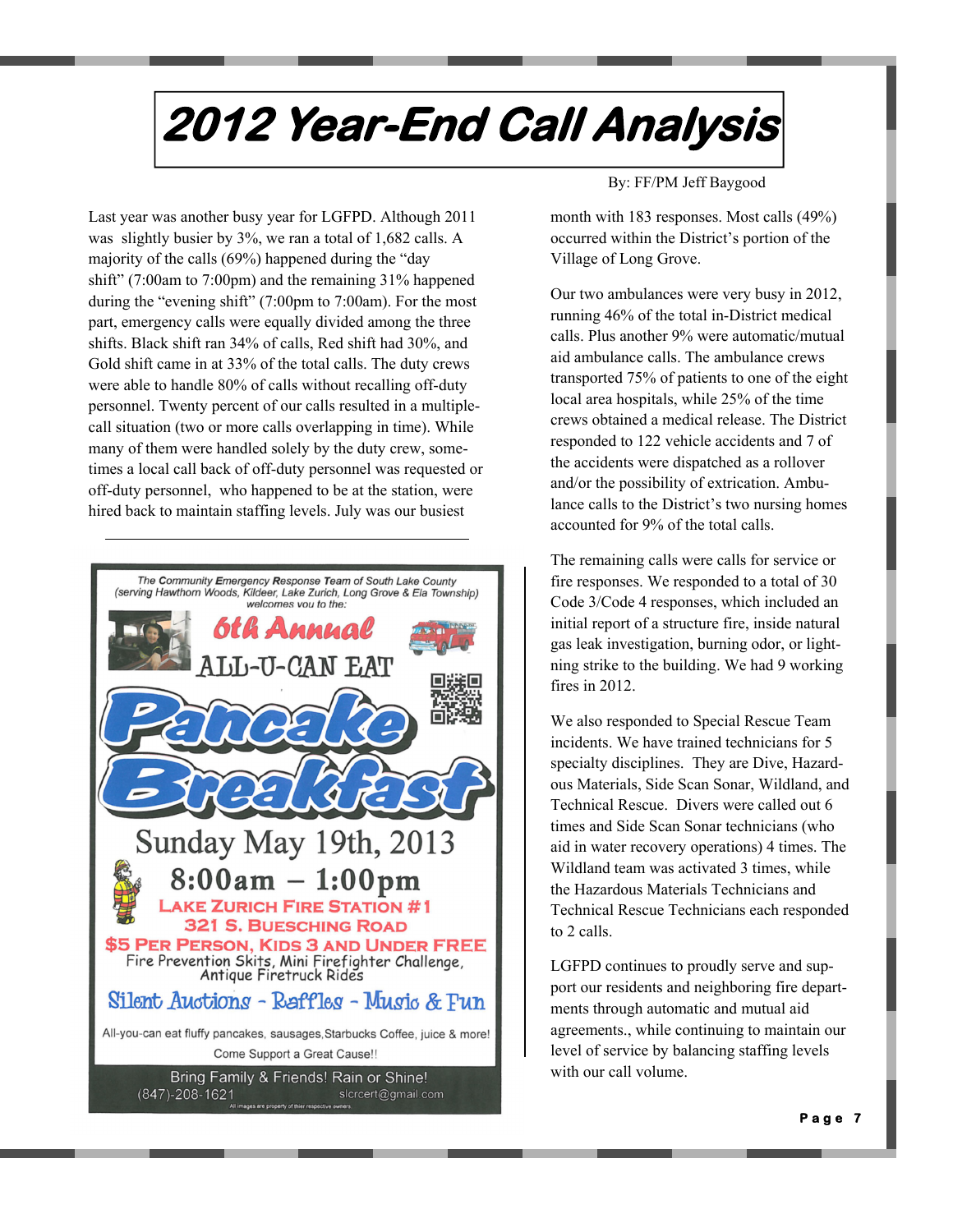# **2012 Year-End Call Analysis**

Last year was another busy year for LGFPD. Although 2011 was slightly busier by 3%, we ran a total of 1,682 calls. A majority of the calls (69%) happened during the "day shift" (7:00am to 7:00pm) and the remaining 31% happened during the "evening shift" (7:00pm to 7:00am). For the most part, emergency calls were equally divided among the three shifts. Black shift ran 34% of calls, Red shift had 30%, and Gold shift came in at 33% of the total calls. The duty crews were able to handle 80% of calls without recalling off-duty personnel. Twenty percent of our calls resulted in a multiplecall situation (two or more calls overlapping in time). While many of them were handled solely by the duty crew, sometimes a local call back of off-duty personnel was requested or off-duty personnel, who happened to be at the station, were hired back to maintain staffing levels. July was our busiest



By: FF/PM Jeff Baygood

month with 183 responses. Most calls (49%) occurred within the District's portion of the Village of Long Grove.

Our two ambulances were very busy in 2012, running 46% of the total in-District medical calls. Plus another 9% were automatic/mutual aid ambulance calls. The ambulance crews transported 75% of patients to one of the eight local area hospitals, while 25% of the time crews obtained a medical release. The District responded to 122 vehicle accidents and 7 of the accidents were dispatched as a rollover and/or the possibility of extrication. Ambulance calls to the District's two nursing homes accounted for 9% of the total calls.

The remaining calls were calls for service or fire responses. We responded to a total of 30 Code 3/Code 4 responses, which included an initial report of a structure fire, inside natural gas leak investigation, burning odor, or lightning strike to the building. We had 9 working fires in 2012.

We also responded to Special Rescue Team incidents. We have trained technicians for 5 specialty disciplines. They are Dive, Hazardous Materials, Side Scan Sonar, Wildland, and Technical Rescue. Divers were called out 6 times and Side Scan Sonar technicians (who aid in water recovery operations) 4 times. The Wildland team was activated 3 times, while the Hazardous Materials Technicians and Technical Rescue Technicians each responded to 2 calls.

LGFPD continues to proudly serve and support our residents and neighboring fire departments through automatic and mutual aid agreements., while continuing to maintain our level of service by balancing staffing levels with our call volume.